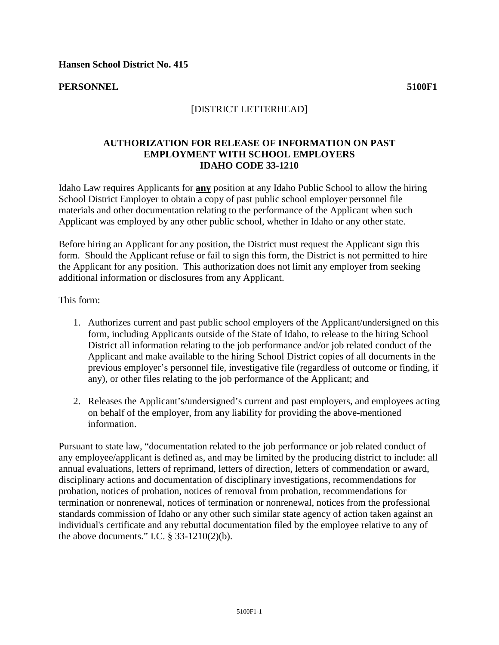**Hansen School District No. 415** 

**PERSONNEL 5100F1**

## [DISTRICT LETTERHEAD]

## **AUTHORIZATION FOR RELEASE OF INFORMATION ON PAST EMPLOYMENT WITH SCHOOL EMPLOYERS IDAHO CODE 33-1210**

Idaho Law requires Applicants for **any** position at any Idaho Public School to allow the hiring School District Employer to obtain a copy of past public school employer personnel file materials and other documentation relating to the performance of the Applicant when such Applicant was employed by any other public school, whether in Idaho or any other state.

Before hiring an Applicant for any position, the District must request the Applicant sign this form. Should the Applicant refuse or fail to sign this form, the District is not permitted to hire the Applicant for any position. This authorization does not limit any employer from seeking additional information or disclosures from any Applicant.

This form:

- 1. Authorizes current and past public school employers of the Applicant/undersigned on this form, including Applicants outside of the State of Idaho, to release to the hiring School District all information relating to the job performance and/or job related conduct of the Applicant and make available to the hiring School District copies of all documents in the previous employer's personnel file, investigative file (regardless of outcome or finding, if any), or other files relating to the job performance of the Applicant; and
- 2. Releases the Applicant's/undersigned's current and past employers, and employees acting on behalf of the employer, from any liability for providing the above-mentioned information.

Pursuant to state law, "documentation related to the job performance or job related conduct of any employee/applicant is defined as, and may be limited by the producing district to include: all annual evaluations, letters of reprimand, letters of direction, letters of commendation or award, disciplinary actions and documentation of disciplinary investigations, recommendations for probation, notices of probation, notices of removal from probation, recommendations for termination or nonrenewal, notices of termination or nonrenewal, notices from the professional standards commission of Idaho or any other such similar state agency of action taken against an individual's certificate and any rebuttal documentation filed by the employee relative to any of the above documents." I.C.  $\S$  33-1210(2)(b).